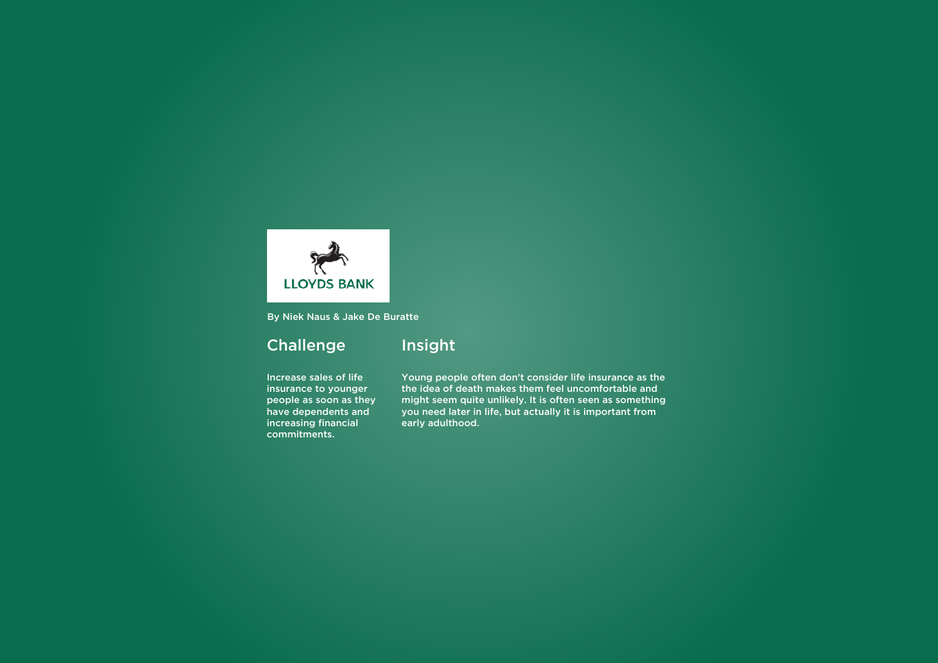Increase sales of life insurance to younger people as soon as they have dependents and increasing financial commitments.

Insight

Young people often don't consider life insurance as the the idea of death makes them feel uncomfortable and might seem quite unlikely. It is often seen as something you need later in life, but actually it is important from early adulthood.



By Niek Naus & Jake De Buratte

### **Challenge**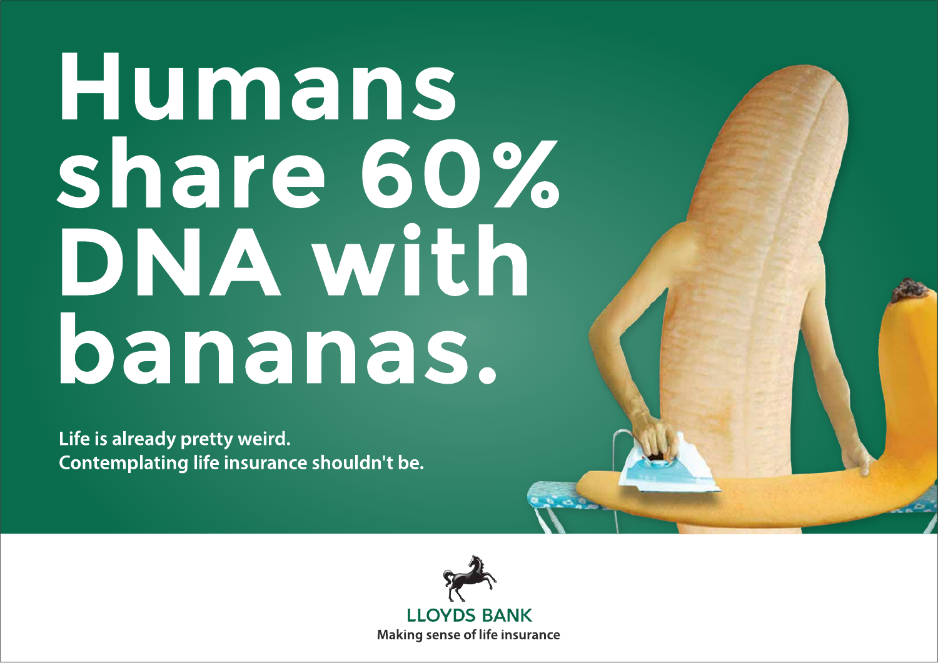## Humans share 60% DNAWIth bananas.

Life is already pretty weird. Contemplating life insurance shouldn't be.



**LLOYDS BANK Making sense of life insurance** 

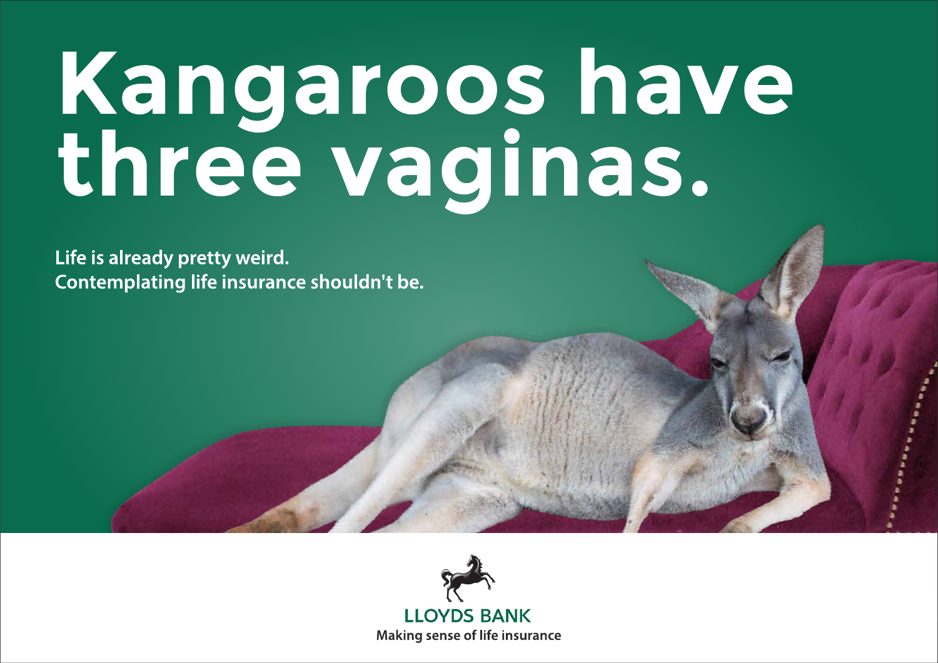# Kangaroos have<br>three vaginas.

Life is already pretty weird. Contemplating life insurance shouldn't be.



**LLOYDS BANK Making sense of life insurance** 



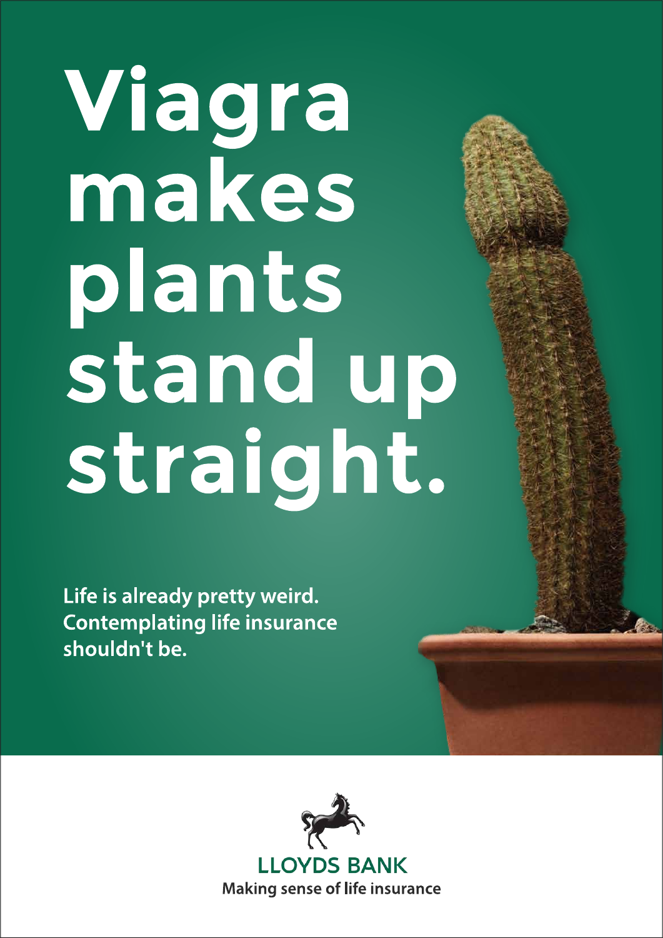# Viagra makes plants stand up straight.

Life is already pretty weird. **Contemplating life insurance** shouldn't be.

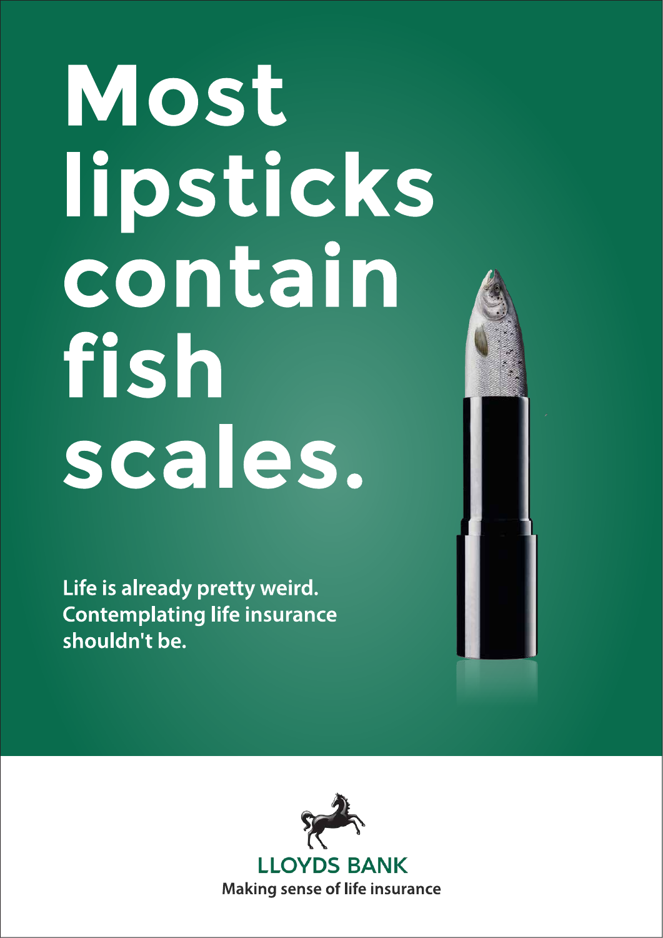## Most lipsticks contain fish scales.

Life is already pretty weird. **Contemplating life insurance** shouldn't be.



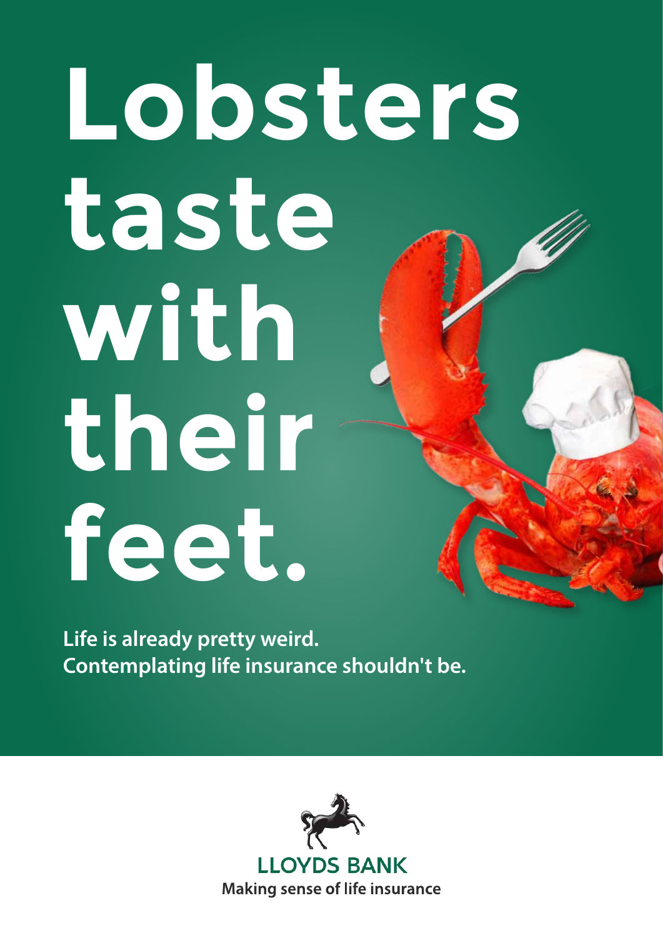**Life is already pretty weird. Contemplating life insurance shouldn't be.**



# **Lobsters taste with their feet.**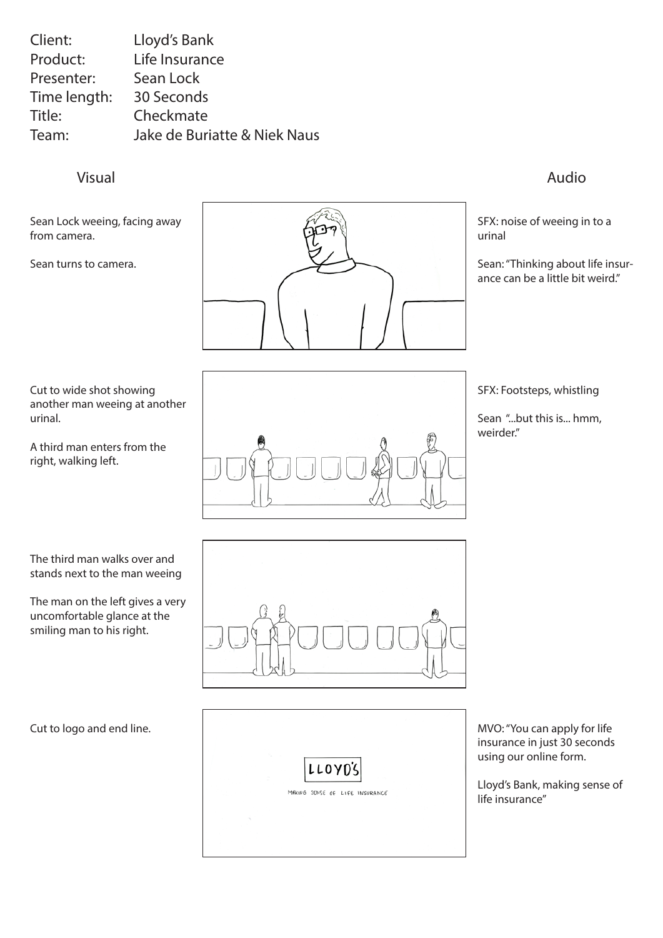Visual Audio

| Client:      | Lloyd's Bank                            |
|--------------|-----------------------------------------|
| Product:     | Life Insurance                          |
| Presenter:   | Sean Lock                               |
| Time length: | 30 Seconds                              |
| Title:       | Checkmate                               |
| Team:        | <b>Jake de Buriatte &amp; Niek Naus</b> |

Sean Lock weeing, facing away from camera.

Sean turns to camera.



Cut to wide shot showing another man weeing at another urinal.

A third man enters from the right, walking left.

### Cut to logo and end line.



The third man walks over and stands next to the man weeing

The man on the left gives a very uncomfortable glance at the smiling man to his right.





SFX: noise of weeing in to a urinal

Sean: "Thinking about life insurance can be a little bit weird."

SFX: Footsteps, whistling

Sean "...but this is... hmm, weirder."

MVO: "You can apply for life insurance in just 30 seconds using our online form.

Lloyd's Bank, making sense of life insurance"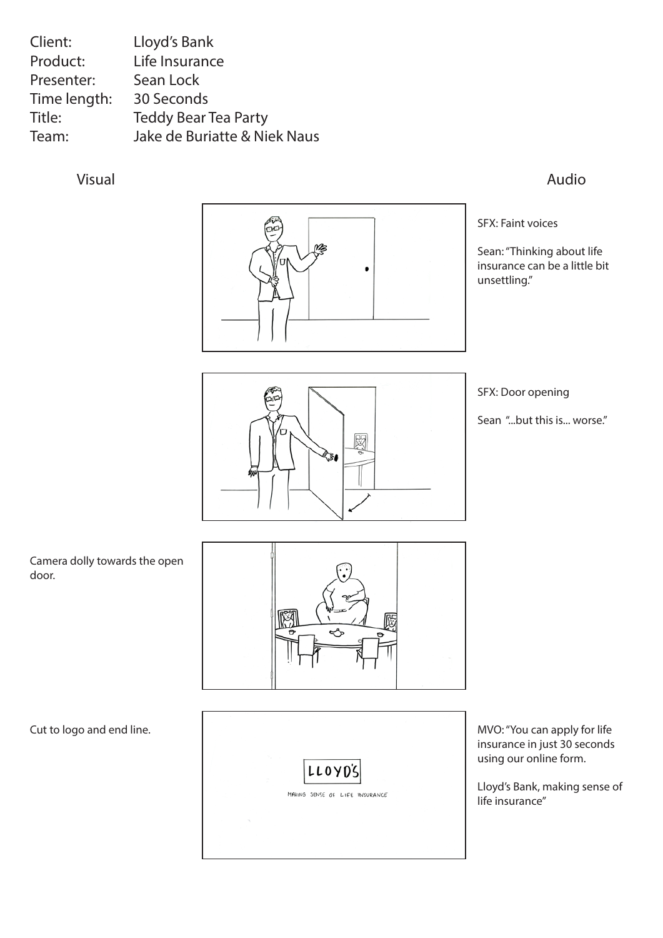### Visual Audio

MB  $\bullet$ 

| Lloyd's Bank                            |
|-----------------------------------------|
| Life Insurance                          |
| Sean Lock                               |
| 30 Seconds                              |
| <b>Teddy Bear Tea Party</b>             |
| <b>Jake de Buriatte &amp; Niek Naus</b> |
|                                         |

### Cut to logo and end line.



Camera dolly towards the open door.



SFX: Faint voices

Sean: "Thinking about life insurance can be a little bit unsettling."



SFX: Door opening

Sean "...but this is... worse."

MVO: "You can apply for life insurance in just 30 seconds using our online form.

Lloyd's Bank, making sense of life insurance"